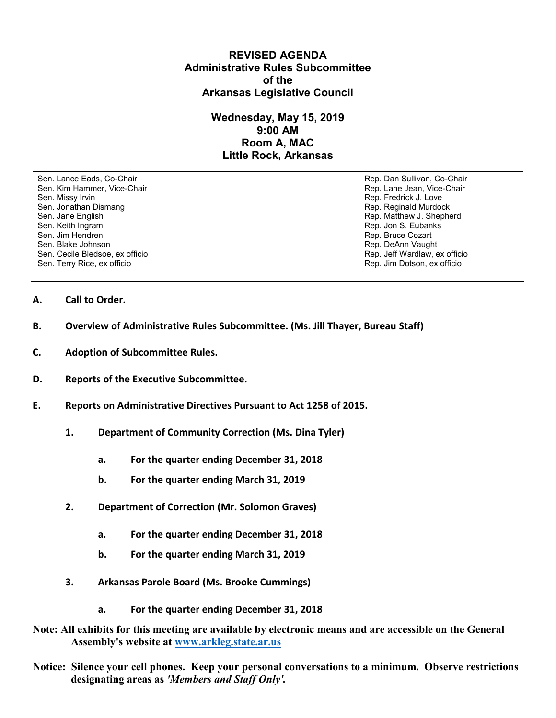## **REVISED AGENDA Administrative Rules Subcommittee of the Arkansas Legislative Council**

## **Wednesday, May 15, 2019 9:00 AM Room A, MAC Little Rock, Arkansas**

Sen. Lance Eads, Co-Chair Rep. Dan Sullivan, Co-Chair Sen. Kim Hammer, Vice-Chair **Rep. Lane Jean, Vice-Chair** Rep. Lane Jean, Vice-Chair Sen. Missy Irvin November 2012 and the sense of the Sen. Missy Irvin Rep. Fredrick J. Love<br>Sen. Jonathan Dismang November 2012 and the Sen. Jonathan Dismang Sen. And The Sen. Reginald Murdock Sen. Jonathan Dismang Sen. Jane English Rep. Matthew J. Shepherd<br>
Sen. Keith Ingram (Sen. Keith Ingram (Sen. Keith Ingram (Sen. Keith Ingram (Sen. Keith Ingram (Sen. Keith Ingra Sen. Keith Ingram Rep. Jon S. Eubanks (Sen. Keith Ingram Rep. Jon S. Eubanks (Sen. Jon S. Eubanks (Sen. Jon S. Eubanks (Sen. Jon S. Eubanks (Sen. Jon S. Eubanks (Sen. Jon S. Eubanks (Sen. Jon S. Eubanks (Sen. Jon S. Eubank Sen. Jim Hendren Rep. Bruce Cozart (1999) Sen. Jim Hendren Rep. Bruce Cozart (1999) Sen. Bruce Cozart (1999) Sen. Bruce Cozart (1999) Sen. Bruce Cozart (1999) Sen. Bruce Cozart (1999) Sen. Bruce Cozart (1999) Sen. Bruce Co Sen. Cecile Bledsoe, ex officio Sen. Terry Rice, ex officio Rep. Jim Dotson, ex officio

Rep. DeAnn Vaught<br>Rep. Jeff Wardlaw, ex officio

- **A. Call to Order.**
- **B. Overview of Administrative Rules Subcommittee. (Ms. Jill Thayer, Bureau Staff)**
- **C. Adoption of Subcommittee Rules.**
- **D. Reports of the Executive Subcommittee.**
- **E. Reports on Administrative Directives Pursuant to Act 1258 of 2015.** 
	- **1. Department of Community Correction (Ms. Dina Tyler)**
		- **a. For the quarter ending December 31, 2018**
		- **b. For the quarter ending March 31, 2019**
	- **2. Department of Correction (Mr. Solomon Graves)**
		- **a. For the quarter ending December 31, 2018**
		- **b. For the quarter ending March 31, 2019**
	- **3. Arkansas Parole Board (Ms. Brooke Cummings)**
		- **a. For the quarter ending December 31, 2018**
- **Note: All exhibits for this meeting are available by electronic means and are accessible on the General Assembly's website at [www.arkleg.state.ar.us](http://www.arkleg.state.ar.us)**
- **Notice: Silence your cell phones. Keep your personal conversations to a minimum. Observe restrictions designating areas as** *'Members and Staff Only'.*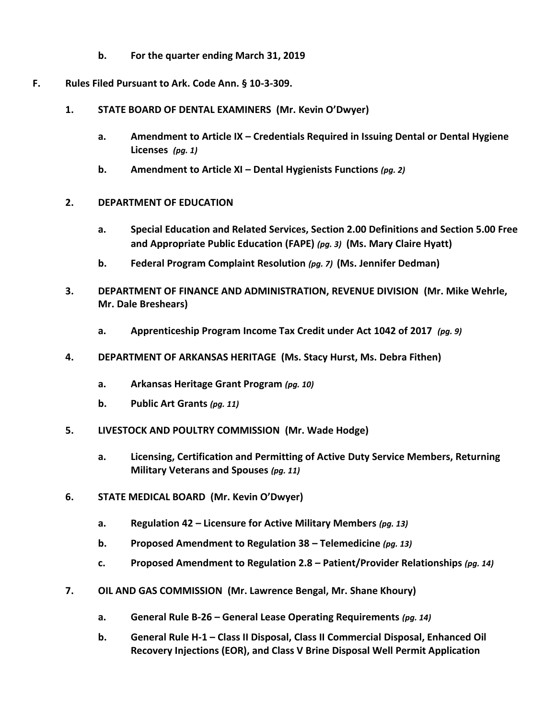- **b. For the quarter ending March 31, 2019**
- **F. Rules Filed Pursuant to Ark. Code Ann. § 10-3-309.**
	- **1. STATE BOARD OF DENTAL EXAMINERS (Mr. Kevin O'Dwyer)**
		- **a. Amendment to Article IX – Credentials Required in Issuing Dental or Dental Hygiene Licenses** *(pg. 1)*
		- **b. Amendment to Article XI – Dental Hygienists Functions** *(pg. 2)*
	- **2. DEPARTMENT OF EDUCATION** 
		- **a. Special Education and Related Services, Section 2.00 Definitions and Section 5.00 Free and Appropriate Public Education (FAPE)** *(pg. 3)* **(Ms. Mary Claire Hyatt)**
		- **b. Federal Program Complaint Resolution** *(pg. 7)* **(Ms. Jennifer Dedman)**
	- **3. DEPARTMENT OF FINANCE AND ADMINISTRATION, REVENUE DIVISION (Mr. Mike Wehrle, Mr. Dale Breshears)**
		- **a. Apprenticeship Program Income Tax Credit under Act 1042 of 2017** *(pg. 9)*
	- **4. DEPARTMENT OF ARKANSAS HERITAGE (Ms. Stacy Hurst, Ms. Debra Fithen)**
		- **a. Arkansas Heritage Grant Program** *(pg. 10)*
		- **b. Public Art Grants** *(pg. 11)*
	- **5. LIVESTOCK AND POULTRY COMMISSION (Mr. Wade Hodge)**
		- **a. Licensing, Certification and Permitting of Active Duty Service Members, Returning Military Veterans and Spouses** *(pg. 11)*
	- **6. STATE MEDICAL BOARD (Mr. Kevin O'Dwyer)**
		- **a. Regulation 42 – Licensure for Active Military Members** *(pg. 13)*
		- **b. Proposed Amendment to Regulation 38 – Telemedicine** *(pg. 13)*
		- **c. Proposed Amendment to Regulation 2.8 – Patient/Provider Relationships** *(pg. 14)*
	- **7. OIL AND GAS COMMISSION (Mr. Lawrence Bengal, Mr. Shane Khoury)**
		- **a. General Rule B-26 – General Lease Operating Requirements** *(pg. 14)*
		- **b. General Rule H-1 – Class II Disposal, Class II Commercial Disposal, Enhanced Oil Recovery Injections (EOR), and Class V Brine Disposal Well Permit Application**